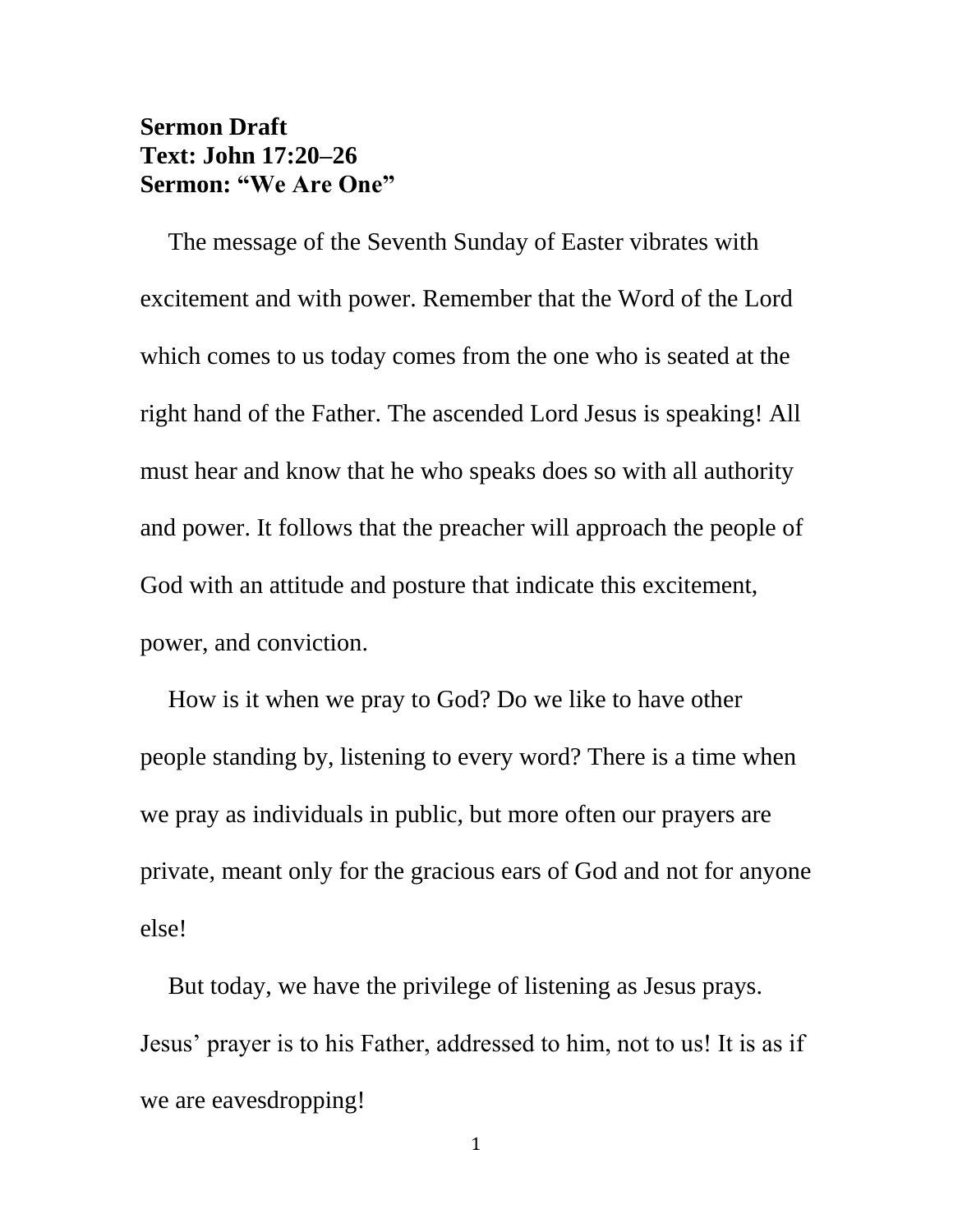## **Sermon Draft Text: John 17:20–26 Sermon: "We Are One"**

The message of the Seventh Sunday of Easter vibrates with excitement and with power. Remember that the Word of the Lord which comes to us today comes from the one who is seated at the right hand of the Father. The ascended Lord Jesus is speaking! All must hear and know that he who speaks does so with all authority and power. It follows that the preacher will approach the people of God with an attitude and posture that indicate this excitement, power, and conviction.

How is it when we pray to God? Do we like to have other people standing by, listening to every word? There is a time when we pray as individuals in public, but more often our prayers are private, meant only for the gracious ears of God and not for anyone else!

But today, we have the privilege of listening as Jesus prays. Jesus' prayer is to his Father, addressed to him, not to us! It is as if we are eavesdropping!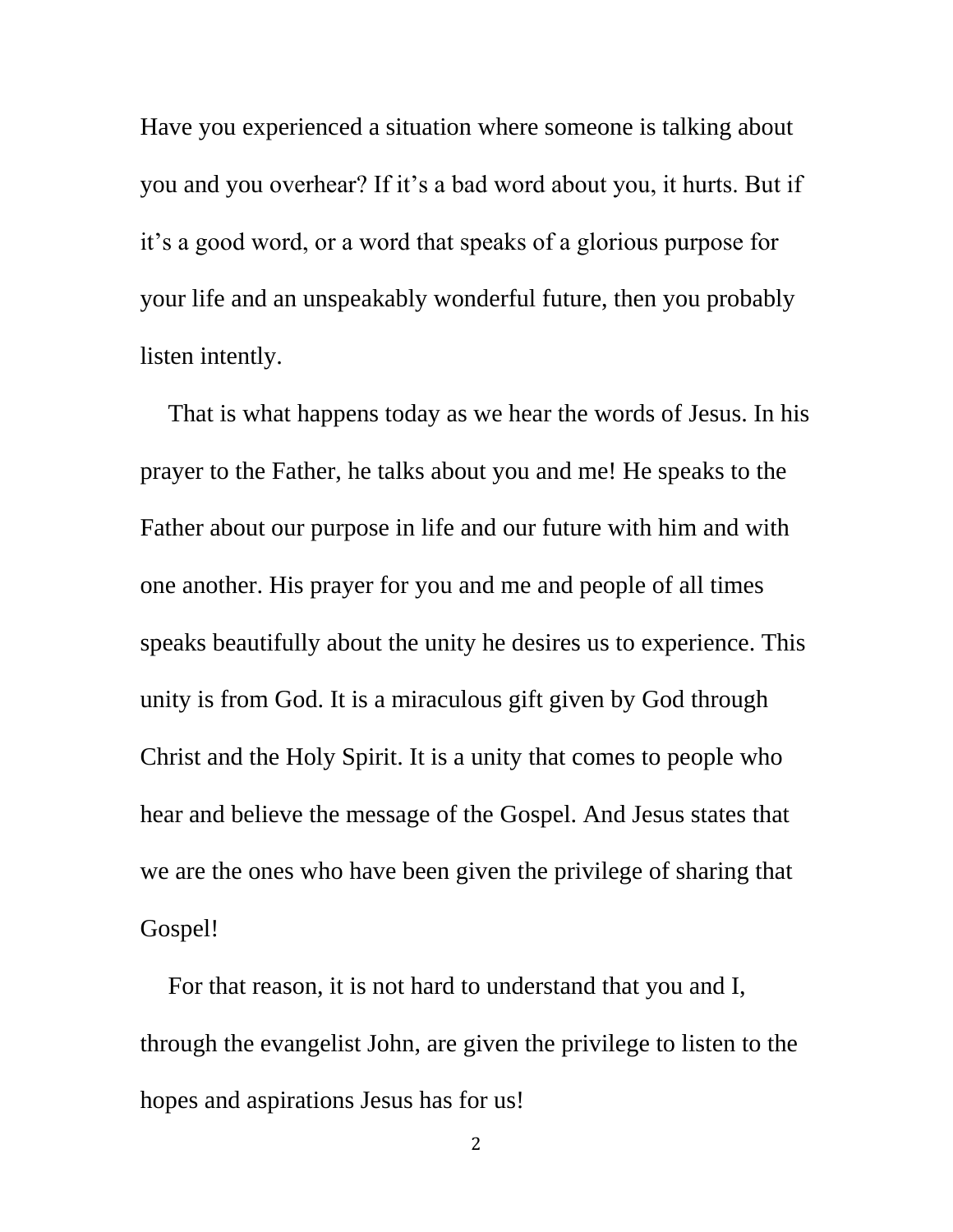Have you experienced a situation where someone is talking about you and you overhear? If it's a bad word about you, it hurts. But if it's a good word, or a word that speaks of a glorious purpose for your life and an unspeakably wonderful future, then you probably listen intently.

That is what happens today as we hear the words of Jesus. In his prayer to the Father, he talks about you and me! He speaks to the Father about our purpose in life and our future with him and with one another. His prayer for you and me and people of all times speaks beautifully about the unity he desires us to experience. This unity is from God. It is a miraculous gift given by God through Christ and the Holy Spirit. It is a unity that comes to people who hear and believe the message of the Gospel. And Jesus states that we are the ones who have been given the privilege of sharing that Gospel!

For that reason, it is not hard to understand that you and I, through the evangelist John, are given the privilege to listen to the hopes and aspirations Jesus has for us!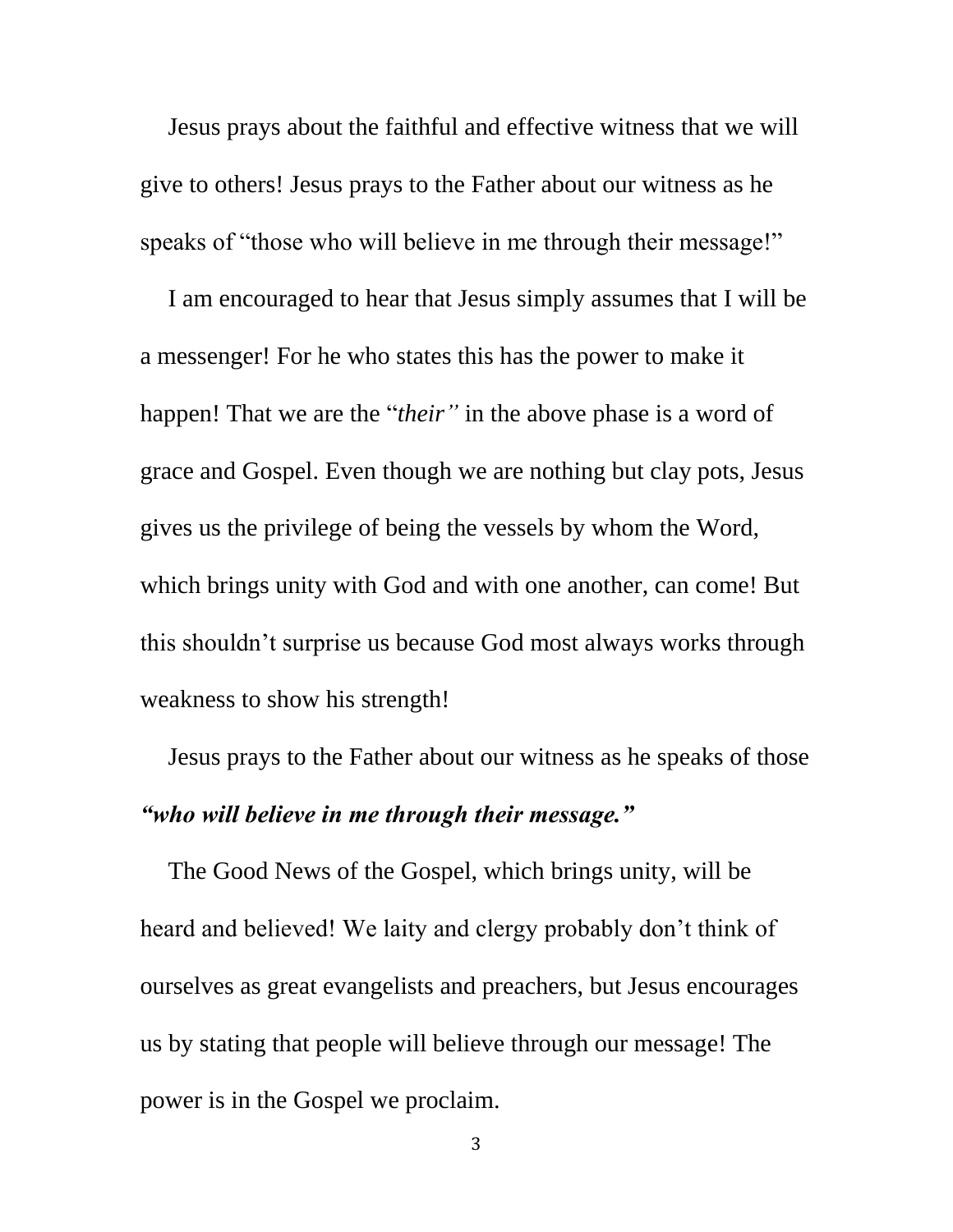Jesus prays about the faithful and effective witness that we will give to others! Jesus prays to the Father about our witness as he speaks of "those who will believe in me through their message!"

I am encouraged to hear that Jesus simply assumes that I will be a messenger! For he who states this has the power to make it happen! That we are the "*their"* in the above phase is a word of grace and Gospel. Even though we are nothing but clay pots, Jesus gives us the privilege of being the vessels by whom the Word, which brings unity with God and with one another, can come! But this shouldn't surprise us because God most always works through weakness to show his strength!

Jesus prays to the Father about our witness as he speaks of those *"who will believe in me through their message."*

The Good News of the Gospel, which brings unity, will be heard and believed! We laity and clergy probably don't think of ourselves as great evangelists and preachers, but Jesus encourages us by stating that people will believe through our message! The power is in the Gospel we proclaim.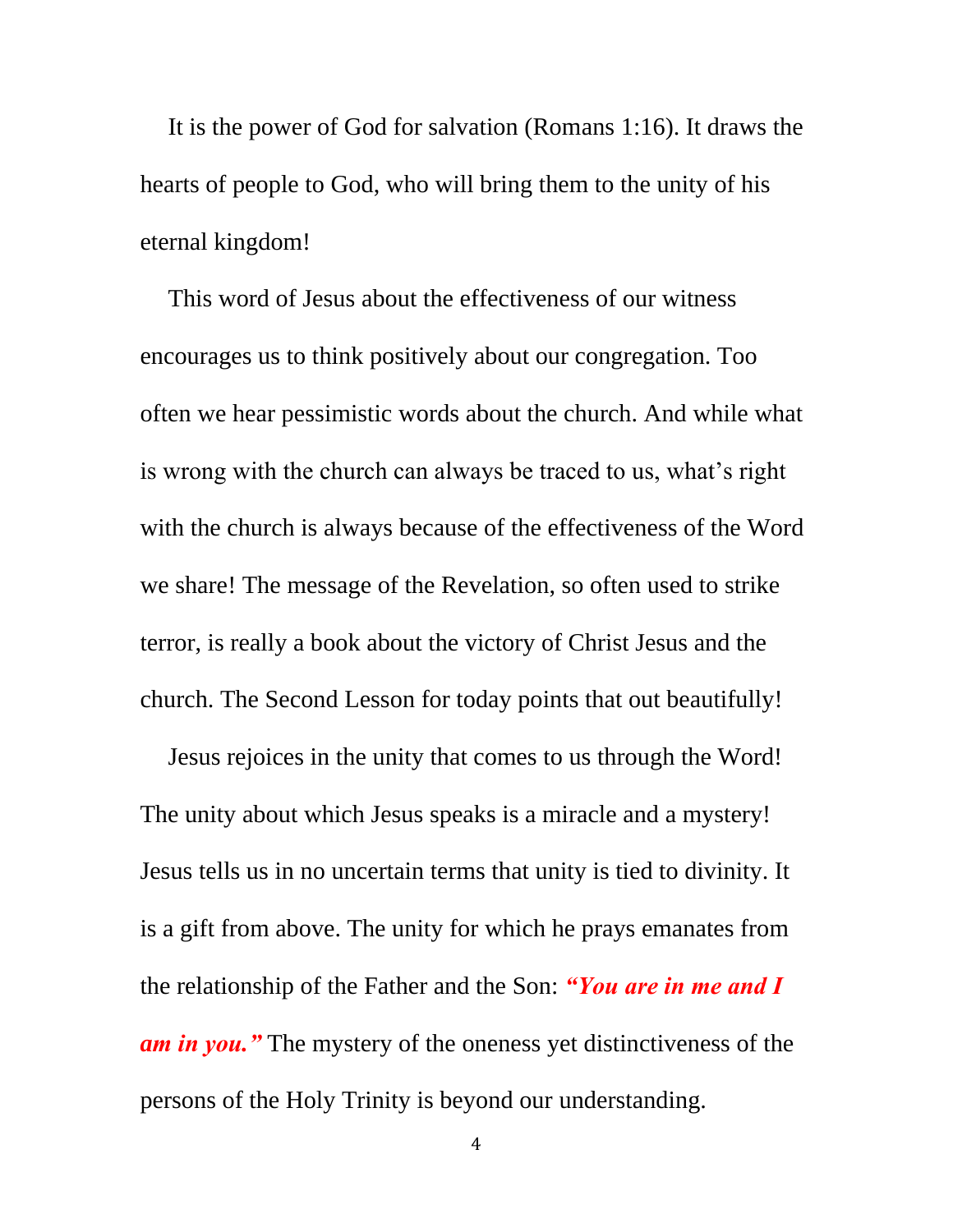It is the power of God for salvation (Romans 1:16). It draws the hearts of people to God, who will bring them to the unity of his eternal kingdom!

This word of Jesus about the effectiveness of our witness encourages us to think positively about our congregation. Too often we hear pessimistic words about the church. And while what is wrong with the church can always be traced to us, what's right with the church is always because of the effectiveness of the Word we share! The message of the Revelation, so often used to strike terror, is really a book about the victory of Christ Jesus and the church. The Second Lesson for today points that out beautifully!

Jesus rejoices in the unity that comes to us through the Word! The unity about which Jesus speaks is a miracle and a mystery! Jesus tells us in no uncertain terms that unity is tied to divinity. It is a gift from above. The unity for which he prays emanates from the relationship of the Father and the Son: *"You are in me and I am in you."* The mystery of the oneness yet distinctiveness of the persons of the Holy Trinity is beyond our understanding.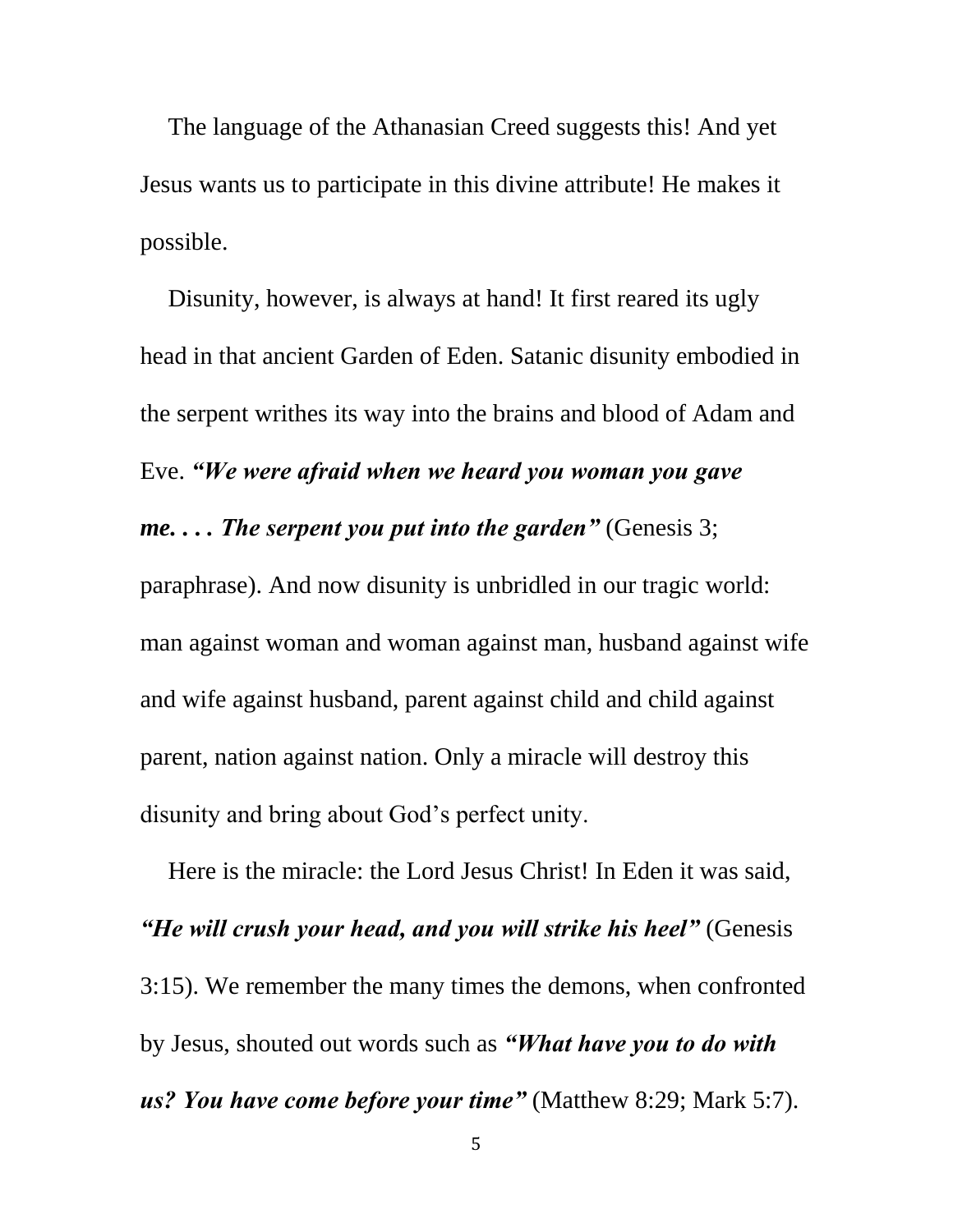The language of the Athanasian Creed suggests this! And yet Jesus wants us to participate in this divine attribute! He makes it possible.

Disunity, however, is always at hand! It first reared its ugly head in that ancient Garden of Eden. Satanic disunity embodied in the serpent writhes its way into the brains and blood of Adam and Eve. *"We were afraid when we heard you woman you gave* 

## *me. . . . The serpent you put into the garden"* (Genesis 3;

paraphrase). And now disunity is unbridled in our tragic world: man against woman and woman against man, husband against wife and wife against husband, parent against child and child against parent, nation against nation. Only a miracle will destroy this disunity and bring about God's perfect unity.

Here is the miracle: the Lord Jesus Christ! In Eden it was said, *"He will crush your head, and you will strike his heel"* (Genesis 3:15). We remember the many times the demons, when confronted by Jesus, shouted out words such as *"What have you to do with us? You have come before your time"* (Matthew 8:29; Mark 5:7).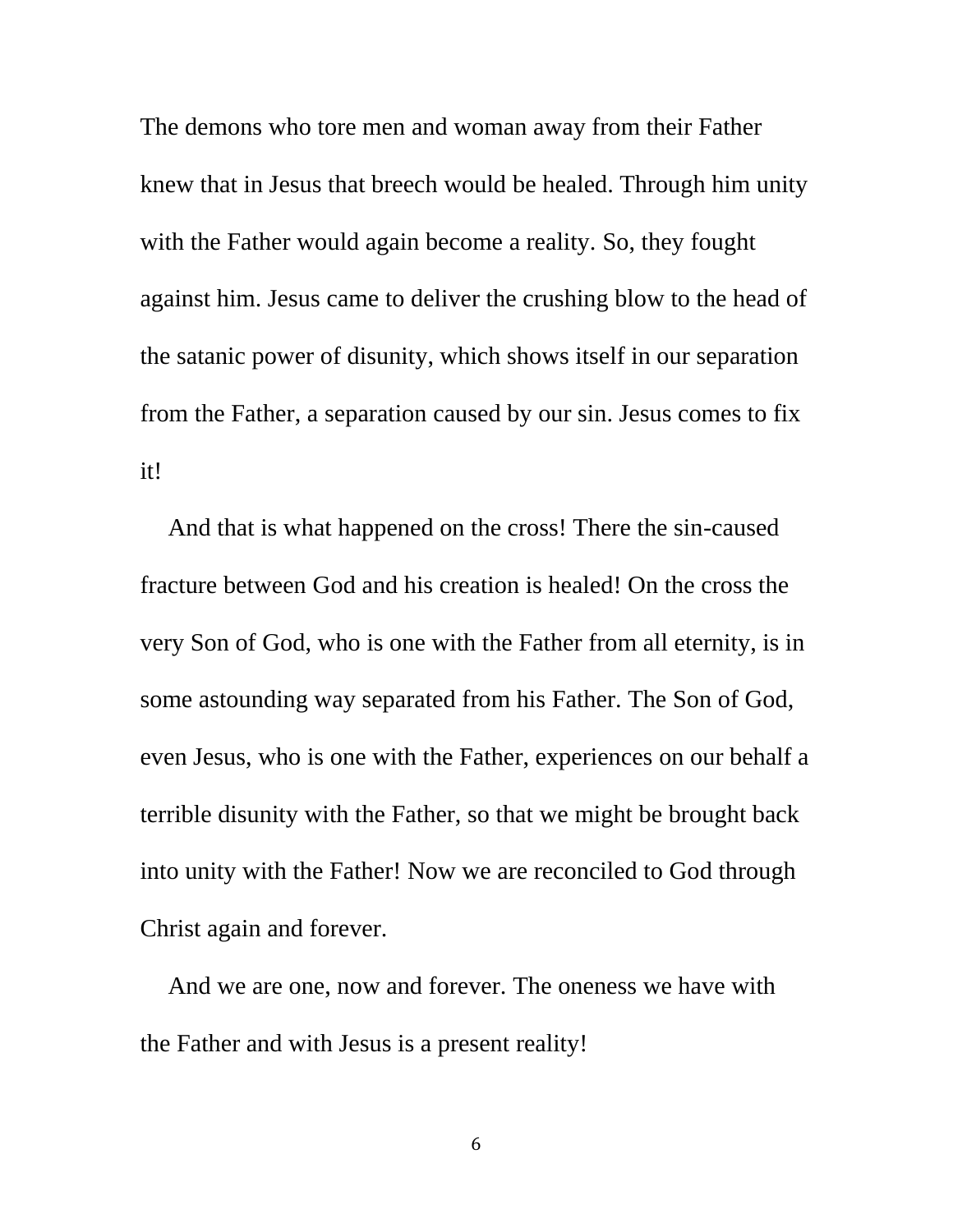The demons who tore men and woman away from their Father knew that in Jesus that breech would be healed. Through him unity with the Father would again become a reality. So, they fought against him. Jesus came to deliver the crushing blow to the head of the satanic power of disunity, which shows itself in our separation from the Father, a separation caused by our sin. Jesus comes to fix it!

And that is what happened on the cross! There the sin-caused fracture between God and his creation is healed! On the cross the very Son of God, who is one with the Father from all eternity, is in some astounding way separated from his Father. The Son of God, even Jesus, who is one with the Father, experiences on our behalf a terrible disunity with the Father, so that we might be brought back into unity with the Father! Now we are reconciled to God through Christ again and forever.

And we are one, now and forever. The oneness we have with the Father and with Jesus is a present reality!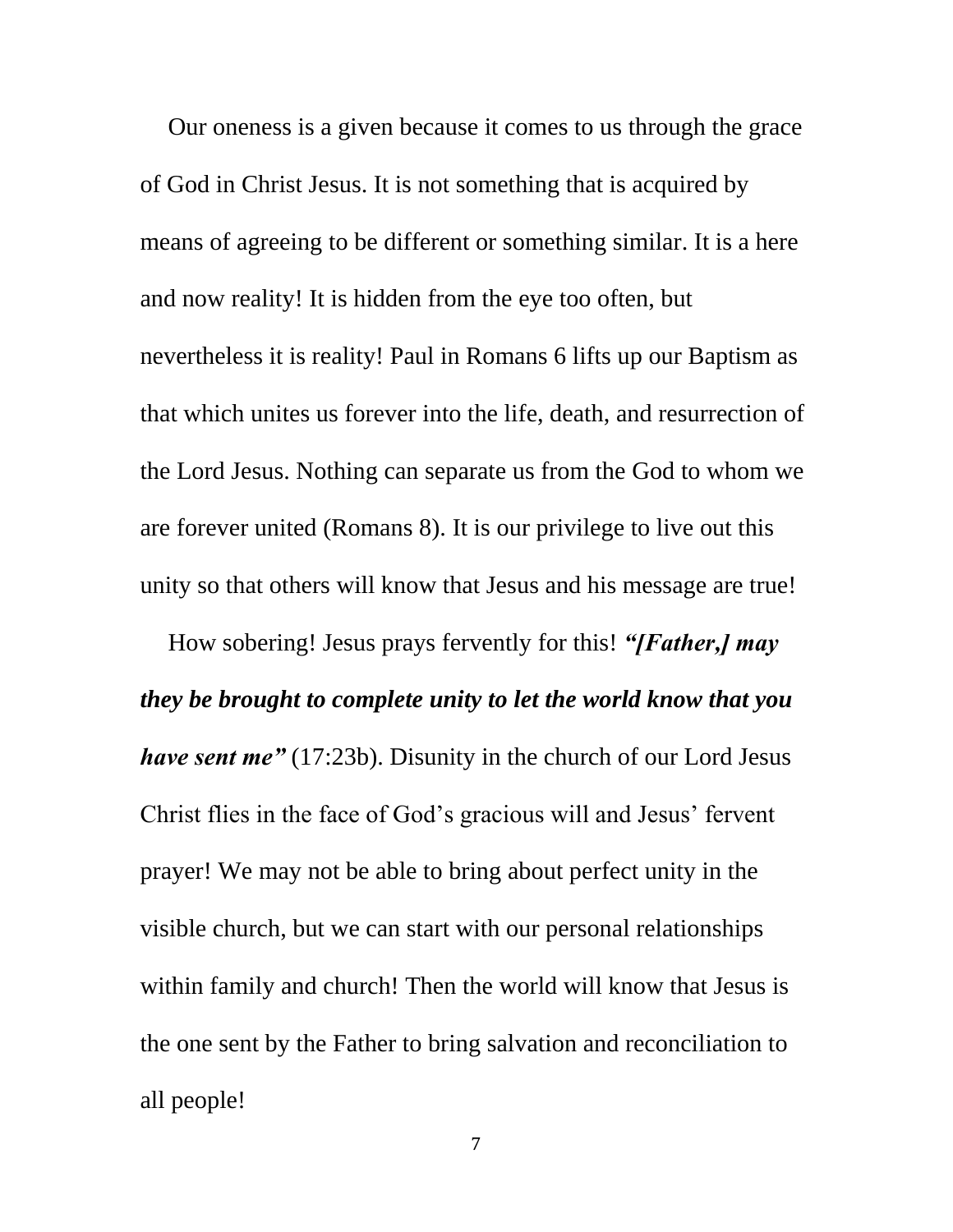Our oneness is a given because it comes to us through the grace of God in Christ Jesus. It is not something that is acquired by means of agreeing to be different or something similar. It is a here and now reality! It is hidden from the eye too often, but nevertheless it is reality! Paul in Romans 6 lifts up our Baptism as that which unites us forever into the life, death, and resurrection of the Lord Jesus. Nothing can separate us from the God to whom we are forever united (Romans 8). It is our privilege to live out this unity so that others will know that Jesus and his message are true!

How sobering! Jesus prays fervently for this! *"[Father,] may they be brought to complete unity to let the world know that you have sent me"* (17:23b). Disunity in the church of our Lord Jesus Christ flies in the face of God's gracious will and Jesus' fervent prayer! We may not be able to bring about perfect unity in the visible church, but we can start with our personal relationships within family and church! Then the world will know that Jesus is the one sent by the Father to bring salvation and reconciliation to all people!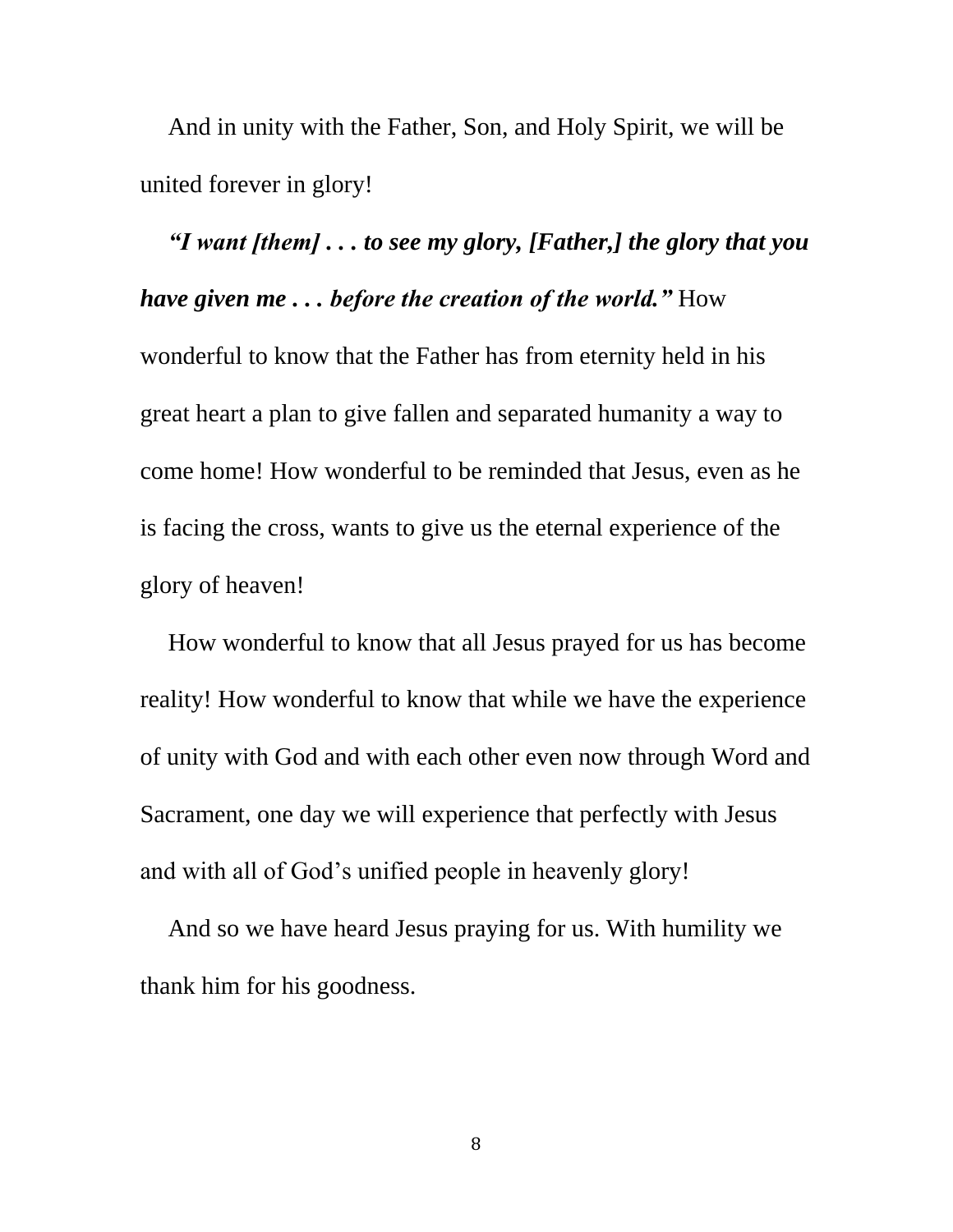And in unity with the Father, Son, and Holy Spirit, we will be united forever in glory!

*"I want [them] . . . to see my glory, [Father,] the glory that you have given me . . . before the creation of the world."* How wonderful to know that the Father has from eternity held in his great heart a plan to give fallen and separated humanity a way to come home! How wonderful to be reminded that Jesus, even as he is facing the cross, wants to give us the eternal experience of the glory of heaven!

How wonderful to know that all Jesus prayed for us has become reality! How wonderful to know that while we have the experience of unity with God and with each other even now through Word and Sacrament, one day we will experience that perfectly with Jesus and with all of God's unified people in heavenly glory!

And so we have heard Jesus praying for us. With humility we thank him for his goodness.